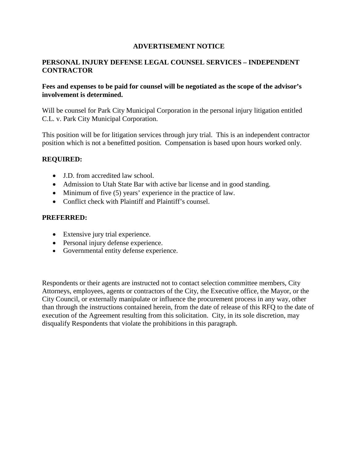## **ADVERTISEMENT NOTICE**

## **PERSONAL INJURY DEFENSE LEGAL COUNSEL SERVICES – INDEPENDENT CONTRACTOR**

#### **Fees and expenses to be paid for counsel will be negotiated as the scope of the advisor's involvement is determined.**

Will be counsel for Park City Municipal Corporation in the personal injury litigation entitled C.L. v. Park City Municipal Corporation.

This position will be for litigation services through jury trial. This is an independent contractor position which is not a benefitted position. Compensation is based upon hours worked only.

## **REQUIRED:**

- J.D. from accredited law school.
- Admission to Utah State Bar with active bar license and in good standing.
- Minimum of five (5) years' experience in the practice of law.
- Conflict check with Plaintiff and Plaintiff's counsel.

#### **PREFERRED:**

- Extensive jury trial experience.
- Personal injury defense experience.
- Governmental entity defense experience.

Respondents or their agents are instructed not to contact selection committee members, City Attorneys, employees, agents or contractors of the City, the Executive office, the Mayor, or the City Council, or externally manipulate or influence the procurement process in any way, other than through the instructions contained herein, from the date of release of this RFQ to the date of execution of the Agreement resulting from this solicitation. City, in its sole discretion, may disqualify Respondents that violate the prohibitions in this paragraph.